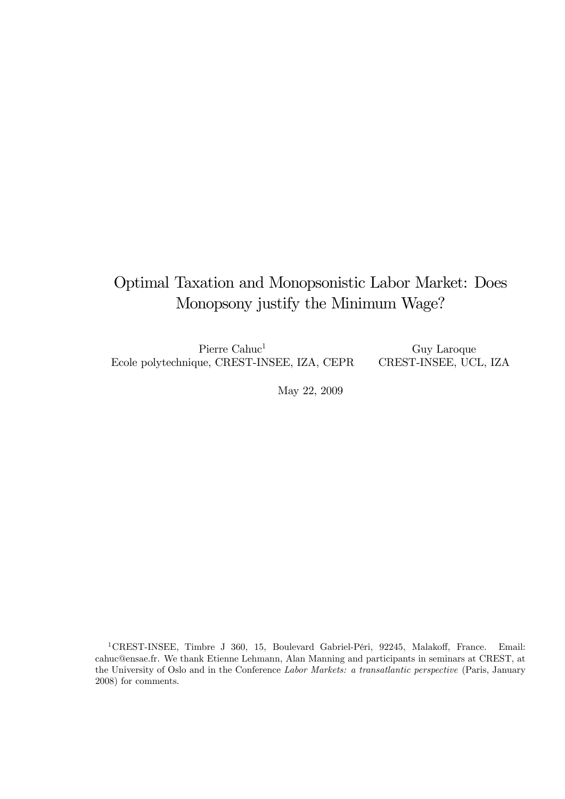# Optimal Taxation and Monopsonistic Labor Market: Does Monopsony justify the Minimum Wage?

Pierre Cahuc<sup>1</sup> Ecole polytechnique, CREST-INSEE, IZA, CEPR Guy Laroque CREST-INSEE, UCL, IZA

May 22, 2009

<sup>1</sup>CREST-INSEE, Timbre J 360, 15, Boulevard Gabriel-Péri, 92245, Malakoff, France. Email: cahuc@ensae.fr. We thank Etienne Lehmann, Alan Manning and participants in seminars at CREST, at the University of Oslo and in the Conference Labor Markets: a transatlantic perspective (Paris, January 2008) for comments.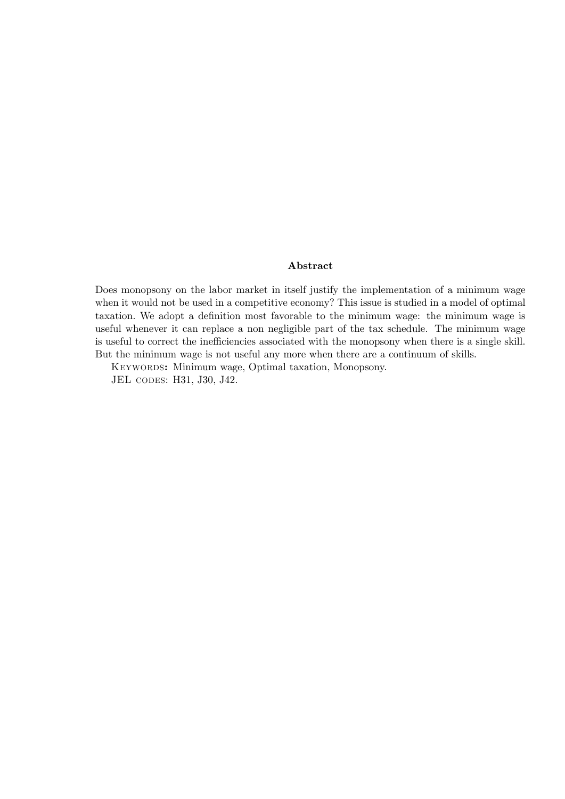#### Abstract

Does monopsony on the labor market in itself justify the implementation of a minimum wage when it would not be used in a competitive economy? This issue is studied in a model of optimal taxation. We adopt a definition most favorable to the minimum wage: the minimum wage is useful whenever it can replace a non negligible part of the tax schedule. The minimum wage is useful to correct the inefficiencies associated with the monopsony when there is a single skill. But the minimum wage is not useful any more when there are a continuum of skills.

Keywords: Minimum wage, Optimal taxation, Monopsony. JEL codes: H31, J30, J42.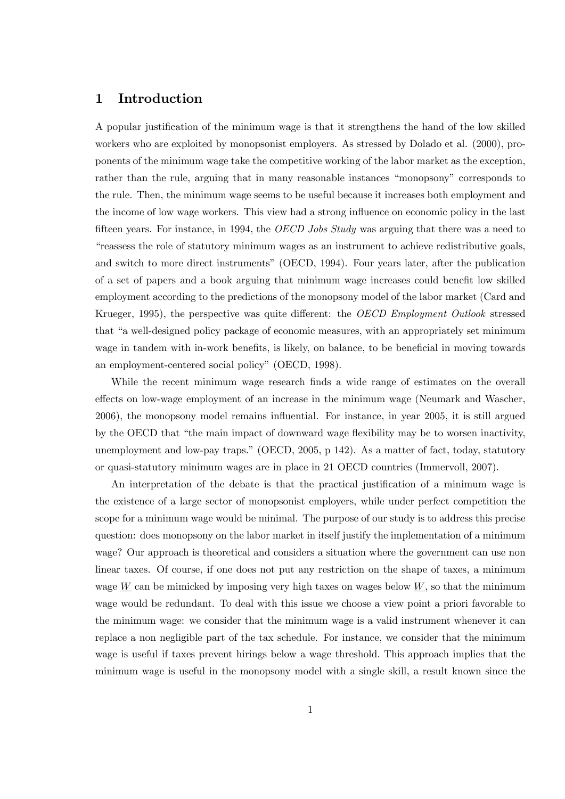## 1 Introduction

A popular justification of the minimum wage is that it strengthens the hand of the low skilled workers who are exploited by monopsonist employers. As stressed by Dolado et al. (2000), proponents of the minimum wage take the competitive working of the labor market as the exception, rather than the rule, arguing that in many reasonable instances "monopsony" corresponds to the rule. Then, the minimum wage seems to be useful because it increases both employment and the income of low wage workers. This view had a strong influence on economic policy in the last fifteen years. For instance, in 1994, the *OECD Jobs Study* was arguing that there was a need to ìreassess the role of statutory minimum wages as an instrument to achieve redistributive goals, and switch to more direct instruments" (OECD, 1994). Four years later, after the publication of a set of papers and a book arguing that minimum wage increases could benefit low skilled employment according to the predictions of the monopsony model of the labor market (Card and Krueger, 1995), the perspective was quite different: the *OECD Employment Outlook* stressed that "a well-designed policy package of economic measures, with an appropriately set minimum wage in tandem with in-work benefits, is likely, on balance, to be beneficial in moving towards an employment-centered social policy" (OECD, 1998).

While the recent minimum wage research finds a wide range of estimates on the overall effects on low-wage employment of an increase in the minimum wage (Neumark and Wascher, 2006), the monopsony model remains influential. For instance, in year 2005, it is still argued by the OECD that "the main impact of downward wage flexibility may be to worsen inactivity, unemployment and low-pay traps." (OECD, 2005, p  $142$ ). As a matter of fact, today, statutory or quasi-statutory minimum wages are in place in 21 OECD countries (Immervoll, 2007).

An interpretation of the debate is that the practical justification of a minimum wage is the existence of a large sector of monopsonist employers, while under perfect competition the scope for a minimum wage would be minimal. The purpose of our study is to address this precise question: does monopsony on the labor market in itself justify the implementation of a minimum wage? Our approach is theoretical and considers a situation where the government can use non linear taxes. Of course, if one does not put any restriction on the shape of taxes, a minimum wage W can be mimicked by imposing very high taxes on wages below  $W$ , so that the minimum wage would be redundant. To deal with this issue we choose a view point a priori favorable to the minimum wage: we consider that the minimum wage is a valid instrument whenever it can replace a non negligible part of the tax schedule. For instance, we consider that the minimum wage is useful if taxes prevent hirings below a wage threshold. This approach implies that the minimum wage is useful in the monopsony model with a single skill, a result known since the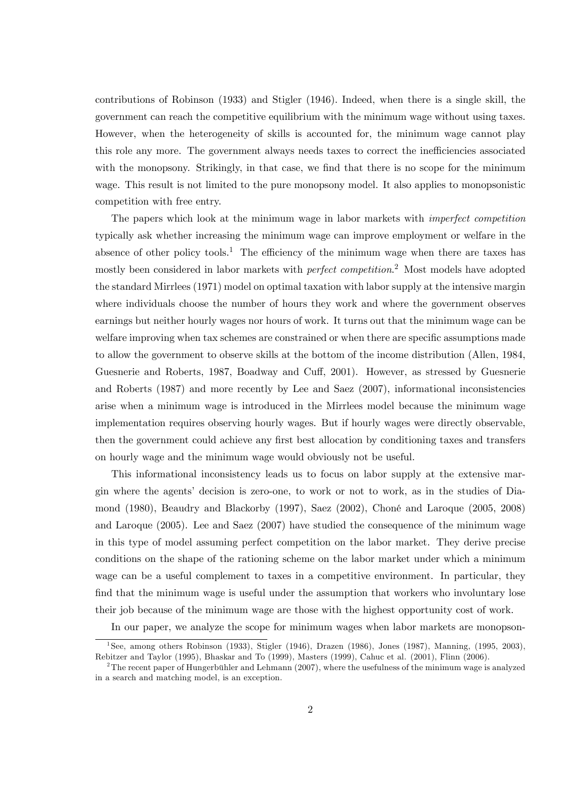contributions of Robinson (1933) and Stigler (1946). Indeed, when there is a single skill, the government can reach the competitive equilibrium with the minimum wage without using taxes. However, when the heterogeneity of skills is accounted for, the minimum wage cannot play this role any more. The government always needs taxes to correct the inefficiencies associated with the monopsony. Strikingly, in that case, we find that there is no scope for the minimum wage. This result is not limited to the pure monopsony model. It also applies to monopsonistic competition with free entry.

The papers which look at the minimum wage in labor markets with imperfect competition typically ask whether increasing the minimum wage can improve employment or welfare in the absence of other policy tools.<sup>1</sup> The efficiency of the minimum wage when there are taxes has mostly been considered in labor markets with *perfect competition*.<sup>2</sup> Most models have adopted the standard Mirrlees (1971) model on optimal taxation with labor supply at the intensive margin where individuals choose the number of hours they work and where the government observes earnings but neither hourly wages nor hours of work. It turns out that the minimum wage can be welfare improving when tax schemes are constrained or when there are specific assumptions made to allow the government to observe skills at the bottom of the income distribution (Allen, 1984, Guesnerie and Roberts, 1987, Boadway and Cuff, 2001). However, as stressed by Guesnerie and Roberts (1987) and more recently by Lee and Saez (2007), informational inconsistencies arise when a minimum wage is introduced in the Mirrlees model because the minimum wage implementation requires observing hourly wages. But if hourly wages were directly observable, then the government could achieve any first best allocation by conditioning taxes and transfers on hourly wage and the minimum wage would obviously not be useful.

This informational inconsistency leads us to focus on labor supply at the extensive margin where the agents' decision is zero-one, to work or not to work, as in the studies of Diamond (1980), Beaudry and Blackorby (1997), Saez (2002), ChonÈ and Laroque (2005, 2008) and Laroque (2005). Lee and Saez (2007) have studied the consequence of the minimum wage in this type of model assuming perfect competition on the labor market. They derive precise conditions on the shape of the rationing scheme on the labor market under which a minimum wage can be a useful complement to taxes in a competitive environment. In particular, they find that the minimum wage is useful under the assumption that workers who involuntary lose their job because of the minimum wage are those with the highest opportunity cost of work.

In our paper, we analyze the scope for minimum wages when labor markets are monopson-

<sup>1</sup> See, among others Robinson (1933), Stigler (1946), Drazen (1986), Jones (1987), Manning, (1995, 2003), Rebitzer and Taylor (1995), Bhaskar and To (1999), Masters (1999), Cahuc et al. (2001), Flinn (2006).

<sup>&</sup>lt;sup>2</sup>The recent paper of Hungerbühler and Lehmann (2007), where the usefulness of the minimum wage is analyzed in a search and matching model, is an exception.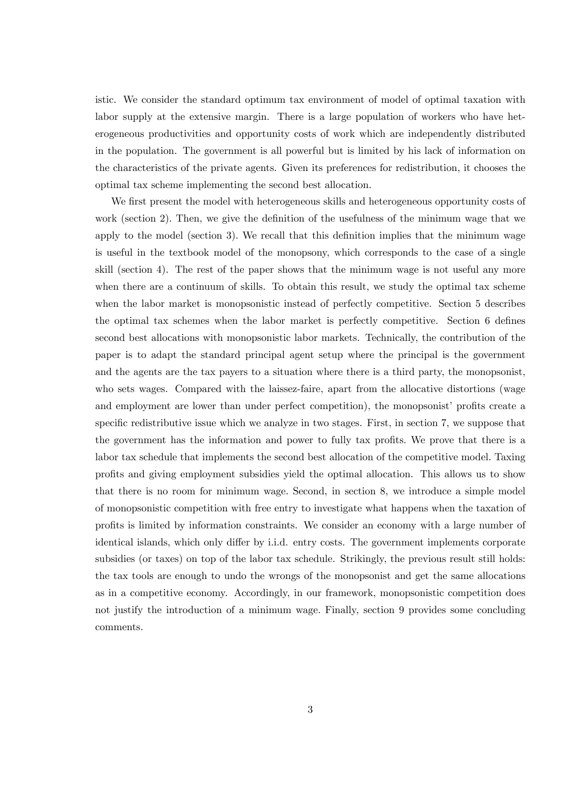istic. We consider the standard optimum tax environment of model of optimal taxation with labor supply at the extensive margin. There is a large population of workers who have heterogeneous productivities and opportunity costs of work which are independently distributed in the population. The government is all powerful but is limited by his lack of information on the characteristics of the private agents. Given its preferences for redistribution, it chooses the optimal tax scheme implementing the second best allocation.

We first present the model with heterogeneous skills and heterogeneous opportunity costs of work (section 2). Then, we give the definition of the usefulness of the minimum wage that we apply to the model (section 3). We recall that this definition implies that the minimum wage is useful in the textbook model of the monopsony, which corresponds to the case of a single skill (section 4). The rest of the paper shows that the minimum wage is not useful any more when there are a continuum of skills. To obtain this result, we study the optimal tax scheme when the labor market is monopsonistic instead of perfectly competitive. Section 5 describes the optimal tax schemes when the labor market is perfectly competitive. Section 6 defines second best allocations with monopsonistic labor markets. Technically, the contribution of the paper is to adapt the standard principal agent setup where the principal is the government and the agents are the tax payers to a situation where there is a third party, the monopsonist, who sets wages. Compared with the laissez-faire, apart from the allocative distortions (wage and employment are lower than under perfect competition), the monopsonist' profits create a specific redistributive issue which we analyze in two stages. First, in section 7, we suppose that the government has the information and power to fully tax profits. We prove that there is a labor tax schedule that implements the second best allocation of the competitive model. Taxing proÖts and giving employment subsidies yield the optimal allocation. This allows us to show that there is no room for minimum wage. Second, in section 8, we introduce a simple model of monopsonistic competition with free entry to investigate what happens when the taxation of proÖts is limited by information constraints. We consider an economy with a large number of identical islands, which only differ by i.i.d. entry costs. The government implements corporate subsidies (or taxes) on top of the labor tax schedule. Strikingly, the previous result still holds: the tax tools are enough to undo the wrongs of the monopsonist and get the same allocations as in a competitive economy. Accordingly, in our framework, monopsonistic competition does not justify the introduction of a minimum wage. Finally, section 9 provides some concluding comments.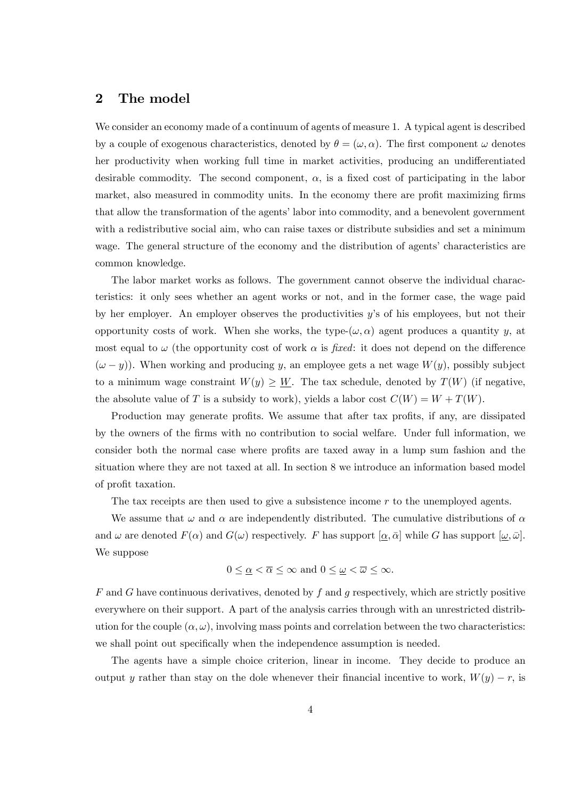## 2 The model

We consider an economy made of a continuum of agents of measure 1. A typical agent is described by a couple of exogenous characteristics, denoted by  $\theta = (\omega, \alpha)$ . The first component  $\omega$  denotes her productivity when working full time in market activities, producing an undifferentiated desirable commodity. The second component,  $\alpha$ , is a fixed cost of participating in the labor market, also measured in commodity units. In the economy there are profit maximizing firms that allow the transformation of the agents' labor into commodity, and a benevolent government with a redistributive social aim, who can raise taxes or distribute subsidies and set a minimum wage. The general structure of the economy and the distribution of agents' characteristics are common knowledge.

The labor market works as follows. The government cannot observe the individual characteristics: it only sees whether an agent works or not, and in the former case, the wage paid by her employer. An employer observes the productivities  $y$ 's of his employees, but not their opportunity costs of work. When she works, the type- $(\omega, \alpha)$  agent produces a quantity y, at most equal to  $\omega$  (the opportunity cost of work  $\alpha$  is fixed: it does not depend on the difference  $(\omega - y)$ . When working and producing y, an employee gets a net wage  $W(y)$ , possibly subject to a minimum wage constraint  $W(y) \geq W$ . The tax schedule, denoted by  $T(W)$  (if negative, the absolute value of T is a subsidy to work), yields a labor cost  $C(W) = W + T(W)$ .

Production may generate profits. We assume that after tax profits, if any, are dissipated by the owners of the Örms with no contribution to social welfare. Under full information, we consider both the normal case where profits are taxed away in a lump sum fashion and the situation where they are not taxed at all. In section 8 we introduce an information based model of profit taxation.

The tax receipts are then used to give a subsistence income  $r$  to the unemployed agents.

We assume that  $\omega$  and  $\alpha$  are independently distributed. The cumulative distributions of  $\alpha$ and  $\omega$  are denoted  $F(\alpha)$  and  $G(\omega)$  respectively. F has support  $[\alpha, \bar{\alpha}]$  while G has support  $[\omega, \bar{\omega}]$ . We suppose

$$
0 \leq \underline{\alpha} < \overline{\alpha} \leq \infty \text{ and } 0 \leq \underline{\omega} < \overline{\omega} \leq \infty.
$$

 $F$  and G have continuous derivatives, denoted by f and g respectively, which are strictly positive everywhere on their support. A part of the analysis carries through with an unrestricted distribution for the couple  $(\alpha, \omega)$ , involving mass points and correlation between the two characteristics: we shall point out specifically when the independence assumption is needed.

The agents have a simple choice criterion, linear in income. They decide to produce an output y rather than stay on the dole whenever their financial incentive to work,  $W(y) - r$ , is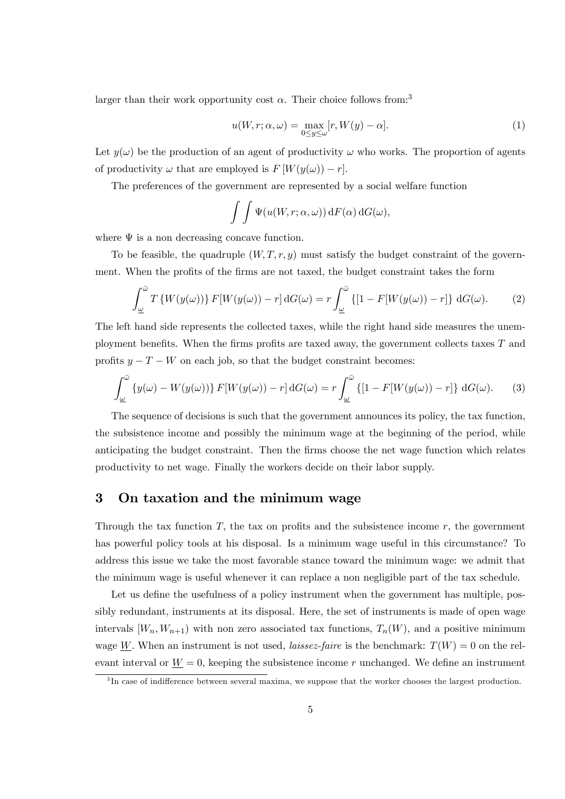larger than their work opportunity cost  $\alpha$ . Their choice follows from:<sup>3</sup>

$$
u(W,r;\alpha,\omega) = \max_{0 \le y \le \omega} [r, W(y) - \alpha]. \tag{1}
$$

Let  $y(\omega)$  be the production of an agent of productivity  $\omega$  who works. The proportion of agents of productivity  $\omega$  that are employed is  $F[W(y(\omega))-r]$ .

The preferences of the government are represented by a social welfare function

$$
\int \int \Psi(u(W,r;\alpha,\omega)) dF(\alpha) dG(\omega),
$$

where  $\Psi$  is a non decreasing concave function.

To be feasible, the quadruple  $(W, T, r, y)$  must satisfy the budget constraint of the government. When the profits of the firms are not taxed, the budget constraint takes the form

$$
\int_{\underline{\omega}}^{\overline{\omega}} T\left\{ W(y(\omega))\right\} F[W(y(\omega)) - r] \, \mathrm{d}G(\omega) = r \int_{\underline{\omega}}^{\overline{\omega}} \left\{ [1 - F[W(y(\omega)) - r] \right\} \, \mathrm{d}G(\omega). \tag{2}
$$

The left hand side represents the collected taxes, while the right hand side measures the unemployment benefits. When the firms profits are taxed away, the government collects taxes  $T$  and profits  $y - T - W$  on each job, so that the budget constraint becomes:

$$
\int_{\underline{\omega}}^{\overline{\omega}} \left\{ y(\omega) - W(y(\omega)) \right\} F[W(y(\omega)) - r] \, dG(\omega) = r \int_{\underline{\omega}}^{\overline{\omega}} \left\{ [1 - F[W(y(\omega)) - r] \right\} \, dG(\omega). \tag{3}
$$

The sequence of decisions is such that the government announces its policy, the tax function, the subsistence income and possibly the minimum wage at the beginning of the period, while anticipating the budget constraint. Then the Örms choose the net wage function which relates productivity to net wage. Finally the workers decide on their labor supply.

## 3 On taxation and the minimum wage

Through the tax function  $T$ , the tax on profits and the subsistence income  $r$ , the government has powerful policy tools at his disposal. Is a minimum wage useful in this circumstance? To address this issue we take the most favorable stance toward the minimum wage: we admit that the minimum wage is useful whenever it can replace a non negligible part of the tax schedule.

Let us define the usefulness of a policy instrument when the government has multiple, possibly redundant, instruments at its disposal. Here, the set of instruments is made of open wage intervals  $[W_n, W_{n+1}]$  with non zero associated tax functions,  $T_n(W)$ , and a positive minimum wage W. When an instrument is not used, *laissez-faire* is the benchmark:  $T(W) = 0$  on the relevant interval or  $W = 0$ , keeping the subsistence income r unchanged. We define an instrument

 ${}^{3}$ In case of indifference between several maxima, we suppose that the worker chooses the largest production.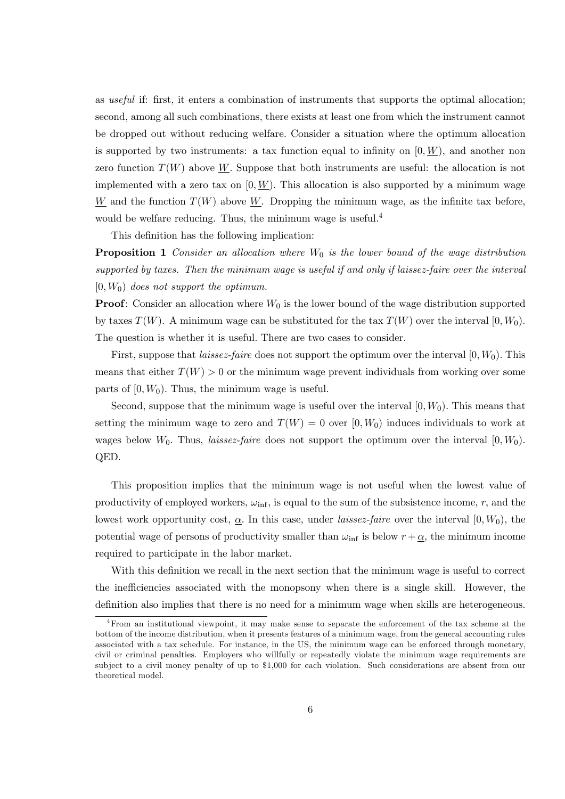as useful if: first, it enters a combination of instruments that supports the optimal allocation; second, among all such combinations, there exists at least one from which the instrument cannot be dropped out without reducing welfare. Consider a situation where the optimum allocation is supported by two instruments: a tax function equal to infinity on  $[0, W)$ , and another non zero function  $T(W)$  above W. Suppose that both instruments are useful: the allocation is not implemented with a zero tax on  $[0, W)$ . This allocation is also supported by a minimum wage W and the function  $T(W)$  above W. Dropping the minimum wage, as the infinite tax before, would be welfare reducing. Thus, the minimum wage is useful.<sup>4</sup>

This definition has the following implication:

**Proposition 1** Consider an allocation where  $W_0$  is the lower bound of the wage distribution supported by taxes. Then the minimum wage is useful if and only if laissez-faire over the interval  $[0, W_0]$  does not support the optimum.

**Proof:** Consider an allocation where  $W_0$  is the lower bound of the wage distribution supported by taxes  $T(W)$ . A minimum wage can be substituted for the tax  $T(W)$  over the interval  $[0, W_0)$ . The question is whether it is useful. There are two cases to consider.

First, suppose that *laissez-faire* does not support the optimum over the interval  $[0, W_0)$ . This means that either  $T(W) > 0$  or the minimum wage prevent individuals from working over some parts of  $[0, W_0)$ . Thus, the minimum wage is useful.

Second, suppose that the minimum wage is useful over the interval  $[0, W_0)$ . This means that setting the minimum wage to zero and  $T(W) = 0$  over  $[0, W_0)$  induces individuals to work at wages below  $W_0$ . Thus, *laissez-faire* does not support the optimum over the interval  $[0, W_0)$ . QED.

This proposition implies that the minimum wage is not useful when the lowest value of productivity of employed workers,  $\omega_{\rm inf}$ , is equal to the sum of the subsistence income, r, and the lowest work opportunity cost,  $\underline{\alpha}$ . In this case, under *laissez-faire* over the interval [0,  $W_0$ ), the potential wage of persons of productivity smaller than  $\omega_{\rm inf}$  is below  $r + \underline{\alpha}$ , the minimum income required to participate in the labor market.

With this definition we recall in the next section that the minimum wage is useful to correct the inefficiencies associated with the monopsony when there is a single skill. However, the definition also implies that there is no need for a minimum wage when skills are heterogeneous.

<sup>4</sup>From an institutional viewpoint, it may make sense to separate the enforcement of the tax scheme at the bottom of the income distribution, when it presents features of a minimum wage, from the general accounting rules associated with a tax schedule. For instance, in the US, the minimum wage can be enforced through monetary, civil or criminal penalties. Employers who willfully or repeatedly violate the minimum wage requirements are subject to a civil money penalty of up to \$1,000 for each violation. Such considerations are absent from our theoretical model.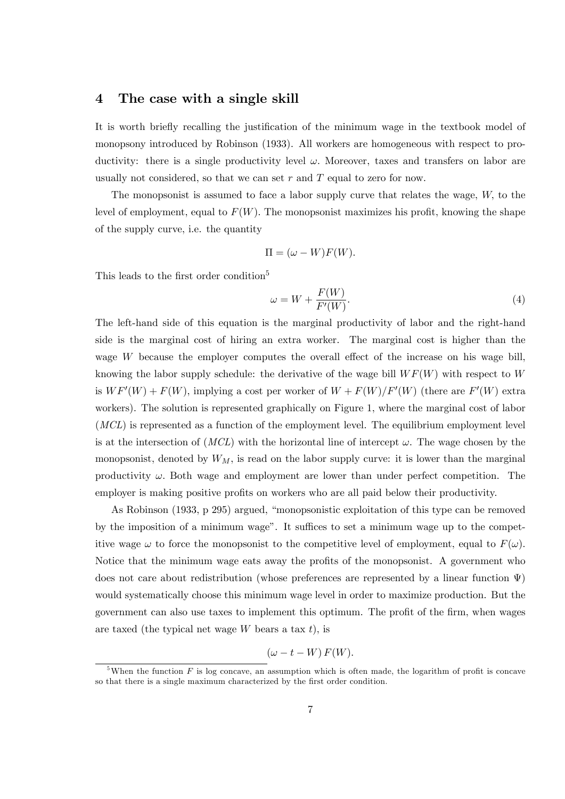### 4 The case with a single skill

It is worth briefly recalling the justification of the minimum wage in the textbook model of monopsony introduced by Robinson (1933). All workers are homogeneous with respect to productivity: there is a single productivity level  $\omega$ . Moreover, taxes and transfers on labor are usually not considered, so that we can set  $r$  and  $T$  equal to zero for now.

The monopsonist is assumed to face a labor supply curve that relates the wage, W; to the level of employment, equal to  $F(W)$ . The monopsonist maximizes his profit, knowing the shape of the supply curve, i.e. the quantity

$$
\Pi = (\omega - W)F(W).
$$

This leads to the first order condition<sup>5</sup>

$$
\omega = W + \frac{F(W)}{F'(W)}.\tag{4}
$$

The left-hand side of this equation is the marginal productivity of labor and the right-hand side is the marginal cost of hiring an extra worker. The marginal cost is higher than the wage  $W$  because the employer computes the overall effect of the increase on his wage bill, knowing the labor supply schedule: the derivative of the wage bill  $WF(W)$  with respect to W is  $WF'(W) + F(W)$ , implying a cost per worker of  $W + F(W)/F'(W)$  (there are  $F'(W)$  extra workers). The solution is represented graphically on Figure 1, where the marginal cost of labor (MCL) is represented as a function of the employment level. The equilibrium employment level is at the intersection of  $(MCL)$  with the horizontal line of intercept  $\omega$ . The wage chosen by the monopsonist, denoted by  $W_M$ , is read on the labor supply curve: it is lower than the marginal productivity  $\omega$ . Both wage and employment are lower than under perfect competition. The employer is making positive profits on workers who are all paid below their productivity.

As Robinson  $(1933, p 295)$  argued, "monopsonistic exploitation of this type can be removed by the imposition of a minimum wage". It suffices to set a minimum wage up to the competitive wage  $\omega$  to force the monopsonist to the competitive level of employment, equal to  $F(\omega)$ . Notice that the minimum wage eats away the profits of the monopsonist. A government who does not care about redistribution (whose preferences are represented by a linear function  $\Psi$ ) would systematically choose this minimum wage level in order to maximize production. But the government can also use taxes to implement this optimum. The profit of the firm, when wages are taxed (the typical net wage  $W$  bears a tax  $t$ ), is

$$
(\omega - t - W) F(W).
$$

<sup>&</sup>lt;sup>5</sup>When the function F is log concave, an assumption which is often made, the logarithm of profit is concave so that there is a single maximum characterized by the first order condition.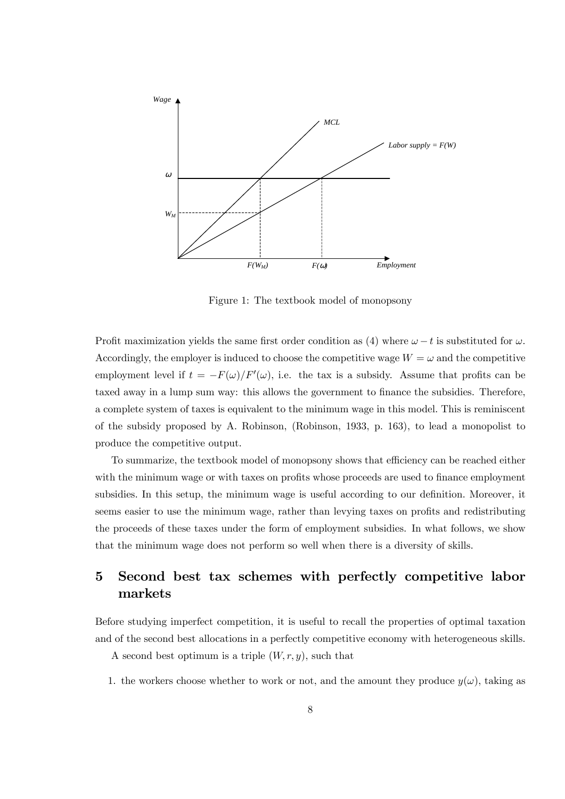

Figure 1: The textbook model of monopsony

Profit maximization yields the same first order condition as (4) where  $\omega - t$  is substituted for  $\omega$ . Accordingly, the employer is induced to choose the competitive wage  $W = \omega$  and the competitive employment level if  $t = -F(\omega)/F'(\omega)$ , i.e. the tax is a subsidy. Assume that profits can be taxed away in a lump sum way: this allows the government to finance the subsidies. Therefore, a complete system of taxes is equivalent to the minimum wage in this model. This is reminiscent of the subsidy proposed by A. Robinson, (Robinson, 1933, p. 163), to lead a monopolist to produce the competitive output.

To summarize, the textbook model of monopsony shows that efficiency can be reached either with the minimum wage or with taxes on profits whose proceeds are used to finance employment subsidies. In this setup, the minimum wage is useful according to our definition. Moreover, it seems easier to use the minimum wage, rather than levying taxes on profits and redistributing the proceeds of these taxes under the form of employment subsidies. In what follows, we show that the minimum wage does not perform so well when there is a diversity of skills.

## 5 Second best tax schemes with perfectly competitive labor markets

Before studying imperfect competition, it is useful to recall the properties of optimal taxation and of the second best allocations in a perfectly competitive economy with heterogeneous skills.

A second best optimum is a triple  $(W, r, y)$ , such that

1. the workers choose whether to work or not, and the amount they produce  $y(\omega)$ , taking as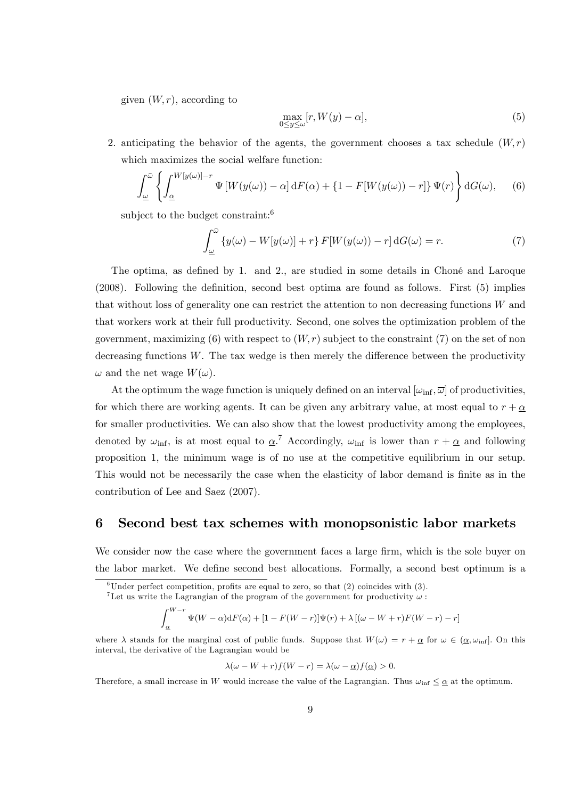given  $(W, r)$ , according to

$$
\max_{0 \le y \le \omega} [r, W(y) - \alpha],\tag{5}
$$

2. anticipating the behavior of the agents, the government chooses a tax schedule  $(W, r)$ which maximizes the social welfare function:

$$
\int_{\underline{\omega}}^{\overline{\omega}} \left\{ \int_{\underline{\alpha}}^{W[y(\omega)]-r} \Psi[W(y(\omega)) - \alpha] dF(\alpha) + \left\{1 - F[W(y(\omega)) - r] \right\} \Psi(r) \right\} dG(\omega), \quad (6)
$$

subject to the budget constraint:<sup>6</sup>

$$
\int_{\underline{\omega}}^{\overline{\omega}} \left\{ y(\omega) - W[y(\omega)] + r \right\} F[W(y(\omega)) - r] \, dG(\omega) = r. \tag{7}
$$

The optima, as defined by 1. and 2., are studied in some details in Choné and Laroque  $(2008)$ . Following the definition, second best optima are found as follows. First  $(5)$  implies that without loss of generality one can restrict the attention to non decreasing functions  $W$  and that workers work at their full productivity. Second, one solves the optimization problem of the government, maximizing  $(6)$  with respect to  $(W, r)$  subject to the constraint  $(7)$  on the set of non decreasing functions  $W$ . The tax wedge is then merely the difference between the productivity  $\omega$  and the net wage  $W(\omega)$ .

At the optimum the wage function is uniquely defined on an interval  $[\omega_{\text{inf}}, \overline{\omega}]$  of productivities, for which there are working agents. It can be given any arbitrary value, at most equal to  $r + \alpha$ for smaller productivities. We can also show that the lowest productivity among the employees, denoted by  $\omega_{\text{inf}}$ , is at most equal to  $\underline{\alpha}$ .<sup>7</sup> Accordingly,  $\omega_{\text{inf}}$  is lower than  $r + \underline{\alpha}$  and following proposition 1, the minimum wage is of no use at the competitive equilibrium in our setup. This would not be necessarily the case when the elasticity of labor demand is finite as in the contribution of Lee and Saez (2007).

## 6 Second best tax schemes with monopsonistic labor markets

We consider now the case where the government faces a large firm, which is the sole buyer on the labor market. We define second best allocations. Formally, a second best optimum is a

$$
\int_{\underline{\alpha}}^{W-r} \Psi(W-\alpha) dF(\alpha) + [1 - F(W-r)]\Psi(r) + \lambda [(\omega - W+r)F(W-r) - r]
$$

where  $\lambda$  stands for the marginal cost of public funds. Suppose that  $W(\omega) = r + \alpha$  for  $\omega \in (\alpha, \omega_{\text{inf}}]$ . On this interval, the derivative of the Lagrangian would be

$$
\lambda(\omega - W + r) f(W - r) = \lambda(\omega - \underline{\alpha}) f(\underline{\alpha}) > 0.
$$

Therefore, a small increase in W would increase the value of the Lagrangian. Thus  $\omega_{\text{inf}} \leq \alpha$  at the optimum.

 ${}^{6}$ Under perfect competition, profits are equal to zero, so that (2) coincides with (3).

<sup>&</sup>lt;sup>7</sup>Let us write the Lagrangian of the program of the government for productivity  $\omega$ :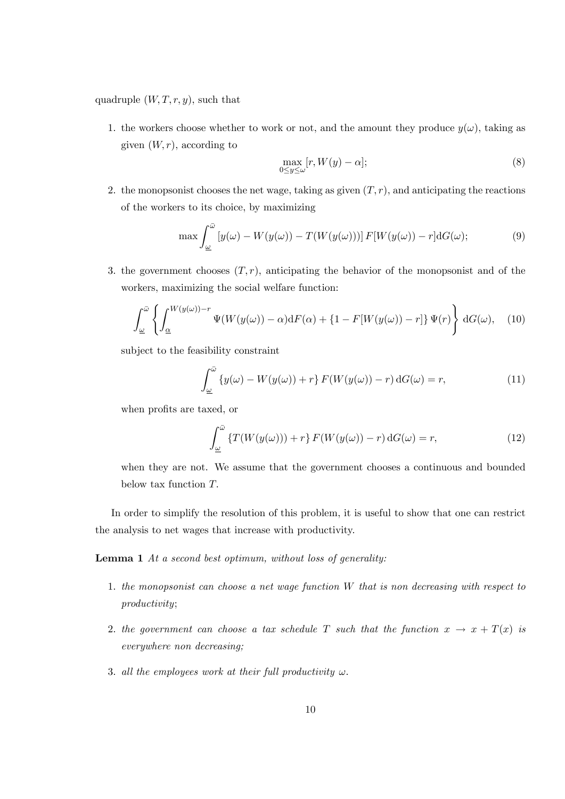quadruple  $(W, T, r, y)$ , such that

1. the workers choose whether to work or not, and the amount they produce  $y(\omega)$ , taking as given  $(W, r)$ , according to

$$
\max_{0 \le y \le \omega} [r, W(y) - \alpha];\tag{8}
$$

2. the monopsonist chooses the net wage, taking as given  $(T, r)$ , and anticipating the reactions of the workers to its choice, by maximizing

$$
\max \int_{\underline{\omega}}^{\overline{\omega}} \left[ y(\omega) - W(y(\omega)) - T(W(y(\omega))) \right] F[W(y(\omega)) - r] dG(\omega); \tag{9}
$$

3. the government chooses  $(T, r)$ , anticipating the behavior of the monopsonist and of the workers, maximizing the social welfare function:

$$
\int_{\underline{\omega}}^{\overline{\omega}} \left\{ \int_{\underline{\alpha}}^{W(y(\omega)) - r} \Psi(W(y(\omega)) - \alpha) dF(\alpha) + \left\{1 - F[W(y(\omega)) - r]\right\} \Psi(r) \right\} dG(\omega), \quad (10)
$$

subject to the feasibility constraint

$$
\int_{\underline{\omega}}^{\overline{\omega}} \left\{ y(\omega) - W(y(\omega)) + r \right\} F(W(y(\omega)) - r) \, dG(\omega) = r,\tag{11}
$$

when profits are taxed, or

$$
\int_{\underline{\omega}}^{\overline{\omega}} \left\{ T(W(y(\omega))) + r \right\} F(W(y(\omega)) - r) \, dG(\omega) = r,\tag{12}
$$

when they are not. We assume that the government chooses a continuous and bounded below tax function T:

In order to simplify the resolution of this problem, it is useful to show that one can restrict the analysis to net wages that increase with productivity.

Lemma 1 At a second best optimum, without loss of generality:

- 1. the monopsonist can choose a net wage function W that is non decreasing with respect to productivity;
- 2. the government can choose a tax schedule T such that the function  $x \to x + T(x)$  is everywhere non decreasing;
- 3. all the employees work at their full productivity  $\omega$ .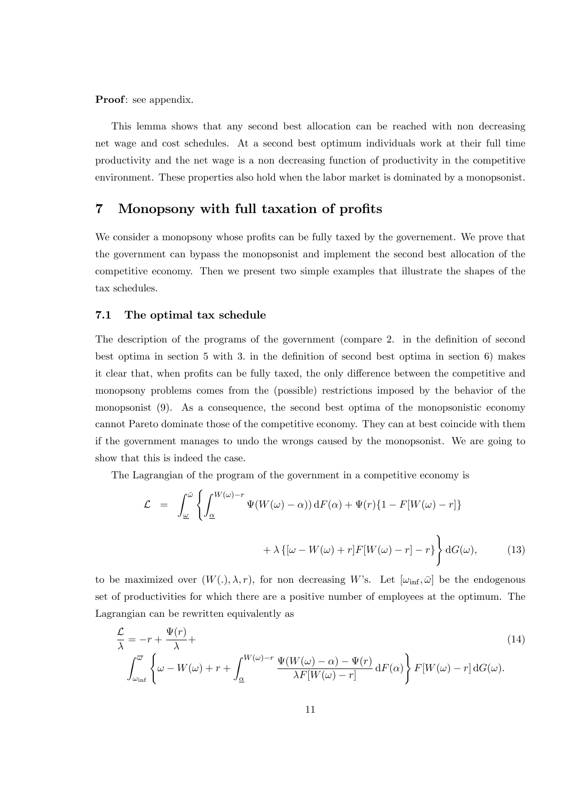Proof: see appendix.

This lemma shows that any second best allocation can be reached with non decreasing net wage and cost schedules. At a second best optimum individuals work at their full time productivity and the net wage is a non decreasing function of productivity in the competitive environment. These properties also hold when the labor market is dominated by a monopsonist.

## 7 Monopsony with full taxation of profits

We consider a monopsony whose profits can be fully taxed by the governement. We prove that the government can bypass the monopsonist and implement the second best allocation of the competitive economy. Then we present two simple examples that illustrate the shapes of the tax schedules.

#### 7.1 The optimal tax schedule

The description of the programs of the government (compare 2. in the definition of second best optima in section 5 with 3. in the definition of second best optima in section 6) makes it clear that, when profits can be fully taxed, the only difference between the competitive and monopsony problems comes from the (possible) restrictions imposed by the behavior of the monopsonist (9). As a consequence, the second best optima of the monopsonistic economy cannot Pareto dominate those of the competitive economy. They can at best coincide with them if the government manages to undo the wrongs caused by the monopsonist. We are going to show that this is indeed the case.

The Lagrangian of the program of the government in a competitive economy is

$$
\mathcal{L} = \int_{\underline{\omega}}^{\overline{\omega}} \left\{ \int_{\underline{\alpha}}^{W(\omega)-r} \Psi(W(\omega)-\alpha) dF(\alpha) + \Psi(r)\{1 - F[W(\omega)-r]\} + \lambda \left\{ [\omega - W(\omega) + r]F[W(\omega)-r] - r \right\} \right\} dG(\omega), \tag{13}
$$

to be maximized over  $(W(.), \lambda, r)$ , for non decreasing W's. Let  $[\omega_{\text{inf}}, \bar{\omega}]$  be the endogenous set of productivities for which there are a positive number of employees at the optimum. The Lagrangian can be rewritten equivalently as

$$
\frac{\mathcal{L}}{\lambda} = -r + \frac{\Psi(r)}{\lambda} + \left(\frac{\Psi(r)}{\lambda}\right)^{2}
$$
\n
$$
\int_{\omega_{\rm inf}}^{\overline{\omega}} \left\{\omega - W(\omega) + r + \int_{\underline{\alpha}}^{W(\omega)-r} \frac{\Psi(W(\omega) - \alpha) - \Psi(r)}{\lambda F[W(\omega) - r]} \, dF(\alpha)\right\} F[W(\omega) - r] \, dG(\omega).
$$
\n(14)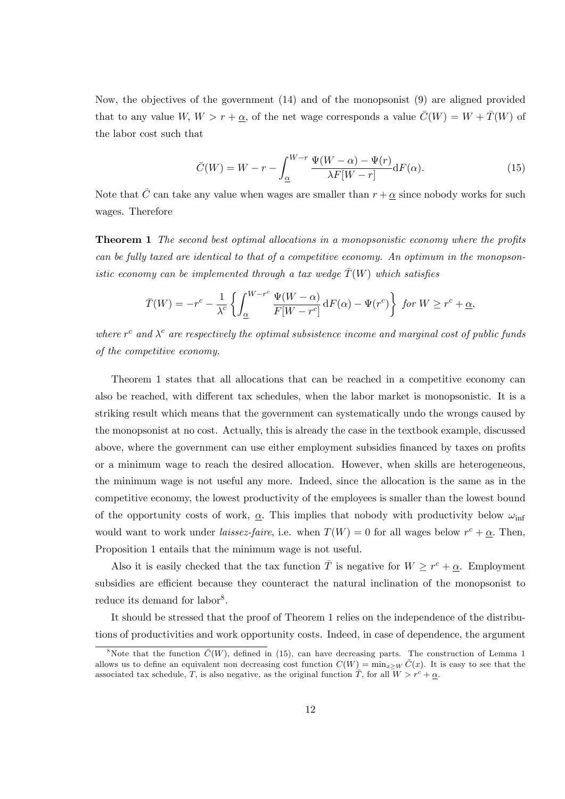Now, the objectives of the government (14) and of the monopsonist (9) are aligned provided that to any value W,  $W > r + \underline{\alpha}$ , of the net wage corresponds a value  $\overline{C}(W) = W + \overline{T}(W)$  of the labor cost such that

$$
\bar{C}(W) = W - r - \int_{\underline{\alpha}}^{W-r} \frac{\Psi(W - \alpha) - \Psi(r)}{\lambda F[W - r]} dF(\alpha).
$$
\n(15)

Note that  $\overline{C}$  can take any value when wages are smaller than  $r + \underline{\alpha}$  since nobody works for such wages. Therefore

**Theorem 1** The second best optimal allocations in a monopsonistic economy where the profits can be fully taxed are identical to that of a competitive economy. An optimum in the monopsonistic economy can be implemented through a tax wedge  $\overline{T}(W)$  which satisfies

$$
\bar{T}(W) = -r^c - \frac{1}{\lambda^c} \left\{ \int_{\underline{\alpha}}^{W-r^c} \frac{\Psi(W-\alpha)}{F[W-r^c]} \, dF(\alpha) - \Psi(r^c) \right\} \text{ for } W \ge r^c + \underline{\alpha},
$$

where  $r^c$  and  $\lambda^c$  are respectively the optimal subsistence income and marginal cost of public funds of the competitive economy.

Theorem 1 states that all allocations that can be reached in a competitive economy can also be reached, with different tax schedules, when the labor market is monopsonistic. It is a striking result which means that the government can systematically undo the wrongs caused by the monopsonist at no cost. Actually, this is already the case in the textbook example, discussed above, where the government can use either employment subsidies financed by taxes on profits or a minimum wage to reach the desired allocation. However, when skills are heterogeneous, the minimum wage is not useful any more. Indeed, since the allocation is the same as in the competitive economy, the lowest productivity of the employees is smaller than the lowest bound of the opportunity costs of work,  $\alpha$ . This implies that nobody with productivity below  $\omega_{\text{inf}}$ would want to work under *laissez-faire*, i.e. when  $T(W) = 0$  for all wages below  $r^c + \underline{\alpha}$ . Then, Proposition 1 entails that the minimum wage is not useful.

Also it is easily checked that the tax function  $\overline{T}$  is negative for  $W \geq r^c + \underline{\alpha}$ . Employment subsidies are efficient because they counteract the natural inclination of the monopsonist to reduce its demand for labor<sup>8</sup>.

It should be stressed that the proof of Theorem 1 relies on the independence of the distributions of productivities and work opportunity costs. Indeed, in case of dependence, the argument

<sup>&</sup>lt;sup>8</sup>Note that the function  $\bar{C}(W)$ , defined in (15), can have decreasing parts. The construction of Lemma 1 allows us to define an equivalent non decreasing cost function  $C(W) = \min_{x>W} \overline{C}(x)$ . It is easy to see that the associated tax schedule, T, is also negative, as the original function  $\overline{T}$ , for all  $W > r^c + \alpha$ .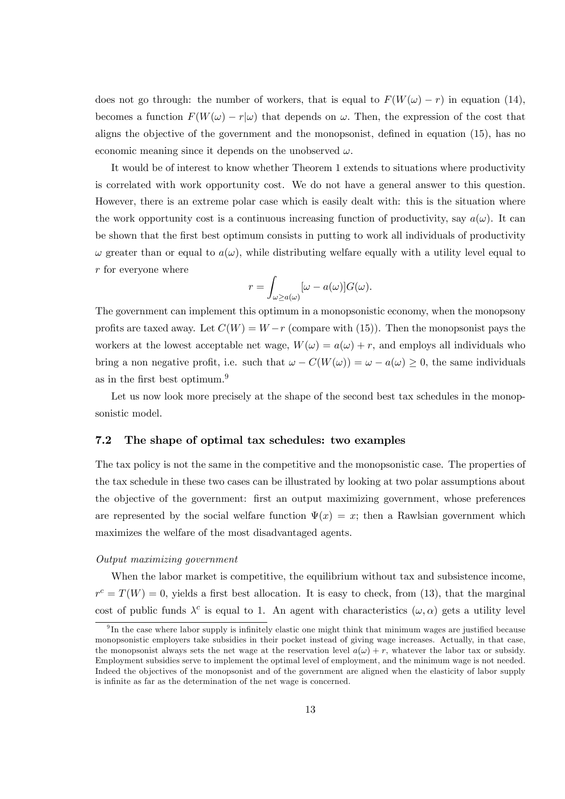does not go through: the number of workers, that is equal to  $F(W(\omega) - r)$  in equation (14), becomes a function  $F(W(\omega) - r|\omega)$  that depends on  $\omega$ . Then, the expression of the cost that aligns the objective of the government and the monopsonist, defined in equation  $(15)$ , has no economic meaning since it depends on the unobserved  $\omega$ .

It would be of interest to know whether Theorem 1 extends to situations where productivity is correlated with work opportunity cost. We do not have a general answer to this question. However, there is an extreme polar case which is easily dealt with: this is the situation where the work opportunity cost is a continuous increasing function of productivity, say  $a(\omega)$ . It can be shown that the first best optimum consists in putting to work all individuals of productivity  $\omega$  greater than or equal to  $a(\omega)$ , while distributing welfare equally with a utility level equal to r for everyone where

$$
r = \int_{\omega \ge a(\omega)} [\omega - a(\omega)] G(\omega).
$$

The government can implement this optimum in a monopsonistic economy, when the monopsony profits are taxed away. Let  $C(W) = W - r$  (compare with (15)). Then the monopsonist pays the workers at the lowest acceptable net wage,  $W(\omega) = a(\omega) + r$ , and employs all individuals who bring a non negative profit, i.e. such that  $\omega - C(W(\omega)) = \omega - a(\omega) \geq 0$ , the same individuals as in the first best optimum.<sup>9</sup>

Let us now look more precisely at the shape of the second best tax schedules in the monopsonistic model.

#### 7.2 The shape of optimal tax schedules: two examples

The tax policy is not the same in the competitive and the monopsonistic case. The properties of the tax schedule in these two cases can be illustrated by looking at two polar assumptions about the objective of the government: Örst an output maximizing government, whose preferences are represented by the social welfare function  $\Psi(x) = x$ ; then a Rawlsian government which maximizes the welfare of the most disadvantaged agents.

#### Output maximizing government

When the labor market is competitive, the equilibrium without tax and subsistence income,  $r^{c} = T(W) = 0$ , yields a first best allocation. It is easy to check, from (13), that the marginal cost of public funds  $\lambda^c$  is equal to 1. An agent with characteristics  $(\omega, \alpha)$  gets a utility level

<sup>&</sup>lt;sup>9</sup>In the case where labor supply is infinitely elastic one might think that minimum wages are justified because monopsonistic employers take subsidies in their pocket instead of giving wage increases. Actually, in that case, the monopsonist always sets the net wage at the reservation level  $a(\omega) + r$ , whatever the labor tax or subsidy. Employment subsidies serve to implement the optimal level of employment, and the minimum wage is not needed. Indeed the objectives of the monopsonist and of the government are aligned when the elasticity of labor supply is infinite as far as the determination of the net wage is concerned.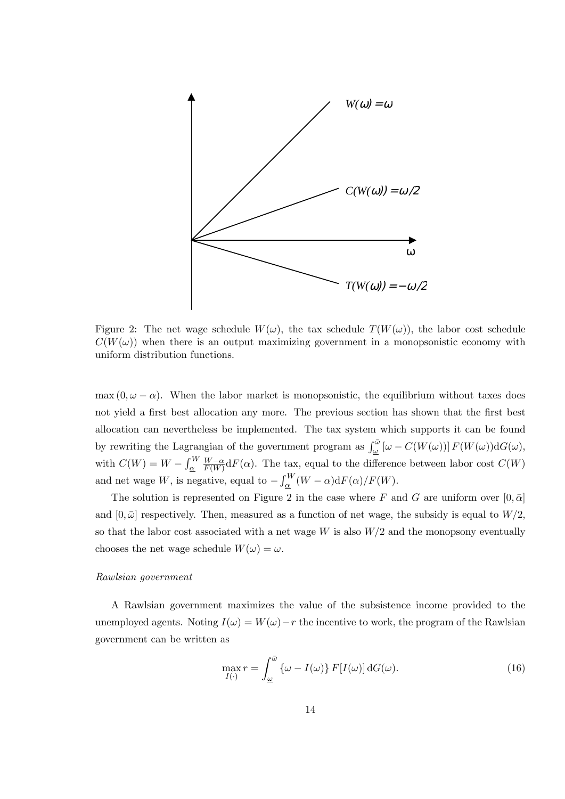

Figure 2: The net wage schedule  $W(\omega)$ , the tax schedule  $T(W(\omega))$ , the labor cost schedule  $C(W(\omega))$  when there is an output maximizing government in a monopsonistic economy with uniform distribution functions.

 $\max (0, \omega - \alpha)$ . When the labor market is monopsonistic, the equilibrium without taxes does not yield a first best allocation any more. The previous section has shown that the first best allocation can nevertheless be implemented. The tax system which supports it can be found by rewriting the Lagrangian of the government program as  $\int_{\omega}^{\bar{\omega}} [\omega - C(W(\omega))] F(W(\omega)) dG(\omega)$ , with  $C(W) = W - \int_{\alpha}^{W} \frac{W - \alpha}{F(W)} dF(\alpha)$ . The tax, equal to the difference between labor cost  $C(W)$ and net wage W, is negative, equal to  $-\int_{\underline{\alpha}}^{W} (W - \alpha) dF(\alpha) / F(W)$ .

The solution is represented on Figure 2 in the case where F and G are uniform over  $[0, \bar{\alpha}]$ and  $[0, \bar{\omega}]$  respectively. Then, measured as a function of net wage, the subsidy is equal to  $W/2$ , so that the labor cost associated with a net wage W is also  $W/2$  and the monopsony eventually chooses the net wage schedule  $W(\omega) = \omega$ .

#### Rawlsian government

A Rawlsian government maximizes the value of the subsistence income provided to the unemployed agents. Noting  $I(\omega) = W(\omega) - r$  the incentive to work, the program of the Rawlsian government can be written as

$$
\max_{I(\cdot)} r = \int_{\underline{\omega}}^{\overline{\omega}} \{ \omega - I(\omega) \} F[I(\omega)] dG(\omega).
$$
 (16)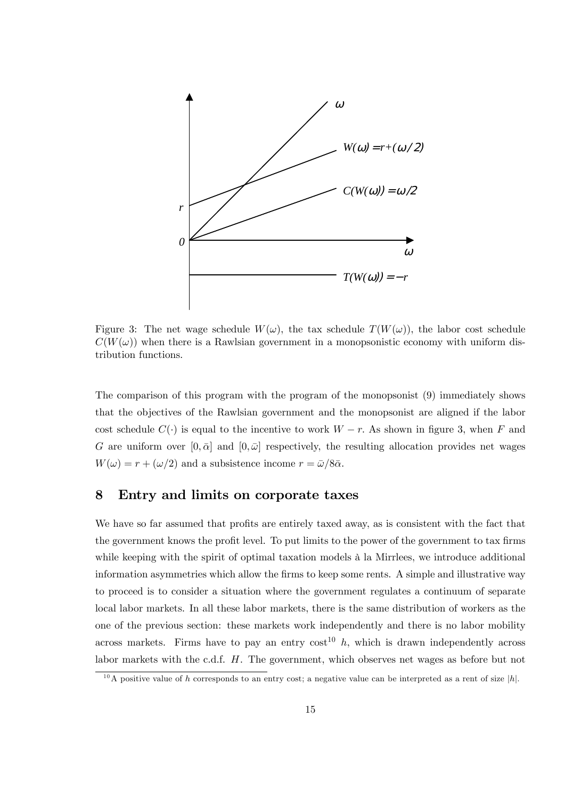

Figure 3: The net wage schedule  $W(\omega)$ , the tax schedule  $T(W(\omega))$ , the labor cost schedule  $C(W(\omega))$  when there is a Rawlsian government in a monopsonistic economy with uniform distribution functions.

The comparison of this program with the program of the monopsonist (9) immediately shows that the objectives of the Rawlsian government and the monopsonist are aligned if the labor cost schedule  $C(\cdot)$  is equal to the incentive to work  $W - r$ . As shown in figure 3, when F and G are uniform over  $[0, \bar{\alpha}]$  and  $[0, \bar{\omega}]$  respectively, the resulting allocation provides net wages  $W(\omega) = r + (\omega/2)$  and a subsistence income  $r = \bar{\omega}/8\bar{\alpha}$ .

## 8 Entry and limits on corporate taxes

We have so far assumed that profits are entirely taxed away, as is consistent with the fact that the government knows the profit level. To put limits to the power of the government to tax firms while keeping with the spirit of optimal taxation models à la Mirrlees, we introduce additional information asymmetries which allow the firms to keep some rents. A simple and illustrative way to proceed is to consider a situation where the government regulates a continuum of separate local labor markets. In all these labor markets, there is the same distribution of workers as the one of the previous section: these markets work independently and there is no labor mobility across markets. Firms have to pay an entry  $\cos t^{10} h$ , which is drawn independently across labor markets with the c.d.f. H. The government, which observes net wages as before but not

<sup>&</sup>lt;sup>10</sup>A positive value of h corresponds to an entry cost; a negative value can be interpreted as a rent of size |h|.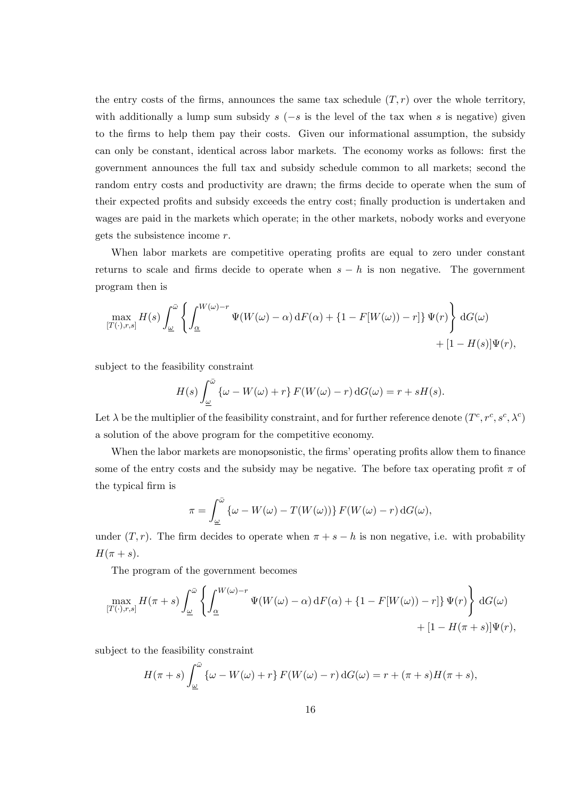the entry costs of the firms, announces the same tax schedule  $(T, r)$  over the whole territory, with additionally a lump sum subsidy  $s$  ( $-s$  is the level of the tax when s is negative) given to the firms to help them pay their costs. Given our informational assumption, the subsidy can only be constant, identical across labor markets. The economy works as follows: first the government announces the full tax and subsidy schedule common to all markets; second the random entry costs and productivity are drawn; the firms decide to operate when the sum of their expected profits and subsidy exceeds the entry cost; finally production is undertaken and wages are paid in the markets which operate; in the other markets, nobody works and everyone gets the subsistence income r.

When labor markets are competitive operating profits are equal to zero under constant returns to scale and firms decide to operate when  $s - h$  is non negative. The government program then is

$$
\max_{[T(\cdot),r,s]} H(s) \int_{\underline{\omega}}^{\overline{\omega}} \left\{ \int_{\underline{\alpha}}^{W(\omega)-r} \Psi(W(\omega) - \alpha) \, dF(\alpha) + \{1 - F[W(\omega)) - r] \} \Psi(r) \right\} dG(\omega) + [1 - H(s)] \Psi(r),
$$

subject to the feasibility constraint

$$
H(s)\int_{\underline{\omega}}^{\overline{\omega}} \{\omega - W(\omega) + r\} F(W(\omega) - r) dG(\omega) = r + sH(s).
$$

Let  $\lambda$  be the multiplier of the feasibility constraint, and for further reference denote  $(T^c, r^c, s^c, \lambda^c)$ a solution of the above program for the competitive economy.

When the labor markets are monopsonistic, the firms' operating profits allow them to finance some of the entry costs and the subsidy may be negative. The before tax operating profit  $\pi$  of the typical firm is

$$
\pi = \int_{\underline{\omega}}^{\overline{\omega}} \{ \omega - W(\omega) - T(W(\omega)) \} F(W(\omega) - r) \, dG(\omega),
$$

under  $(T, r)$ . The firm decides to operate when  $\pi + s - h$  is non negative, i.e. with probability  $H(\pi + s)$ .

The program of the government becomes

$$
\max_{[T(\cdot),r,s]} H(\pi+s) \int_{\underline{\omega}}^{\overline{\omega}} \left\{ \int_{\underline{\alpha}}^{W(\omega)-r} \Psi(W(\omega)-\alpha) \, dF(\alpha) + \left\{1 - F[W(\omega)) - r\right\} \Psi(r) \right\} dG(\omega) + \left[1 - H(\pi+s)\right] \Psi(r),
$$

subject to the feasibility constraint

$$
H(\pi+s)\int_{\underline{\omega}}^{\overline{\omega}}\left\{\omega-W(\omega)+r\right\}F(W(\omega)-r)\,\mathrm{d}G(\omega)=r+(\pi+s)H(\pi+s),
$$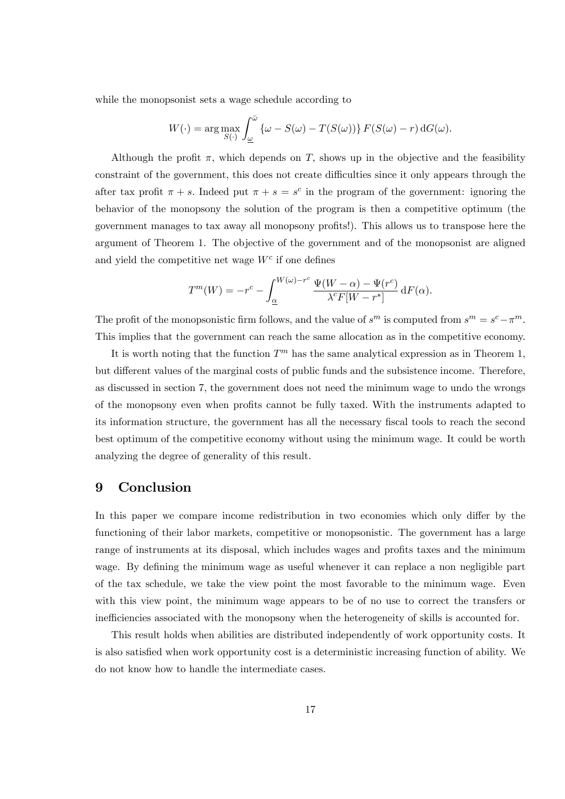while the monopsonist sets a wage schedule according to

$$
W(\cdot) = \arg \max_{S(\cdot)} \int_{\underline{\omega}}^{\overline{\omega}} \left\{ \omega - S(\omega) - T(S(\omega)) \right\} F(S(\omega) - r) \, dG(\omega).
$$

Although the profit  $\pi$ , which depends on T, shows up in the objective and the feasibility constraint of the government, this does not create difficulties since it only appears through the after tax profit  $\pi + s$ . Indeed put  $\pi + s = s^c$  in the program of the government: ignoring the behavior of the monopsony the solution of the program is then a competitive optimum (the government manages to tax away all monopsony profits!). This allows us to transpose here the argument of Theorem 1. The objective of the government and of the monopsonist are aligned and yield the competitive net wage  $W^c$  if one defines

$$
T^{m}(W) = -r^{c} - \int_{\underline{\alpha}}^{W(\omega)-r^{c}} \frac{\Psi(W-\alpha)-\Psi(r^{c})}{\lambda^{c}F[W-r^{*}]} dF(\alpha).
$$

The profit of the monopsonistic firm follows, and the value of  $s^m$  is computed from  $s^m = s^c - \pi^m$ . This implies that the government can reach the same allocation as in the competitive economy.

It is worth noting that the function  $T<sup>m</sup>$  has the same analytical expression as in Theorem 1, but different values of the marginal costs of public funds and the subsistence income. Therefore, as discussed in section 7, the government does not need the minimum wage to undo the wrongs of the monopsony even when proÖts cannot be fully taxed. With the instruments adapted to its information structure, the government has all the necessary fiscal tools to reach the second best optimum of the competitive economy without using the minimum wage. It could be worth analyzing the degree of generality of this result.

## 9 Conclusion

In this paper we compare income redistribution in two economies which only differ by the functioning of their labor markets, competitive or monopsonistic. The government has a large range of instruments at its disposal, which includes wages and profits taxes and the minimum wage. By defining the minimum wage as useful whenever it can replace a non negligible part of the tax schedule, we take the view point the most favorable to the minimum wage. Even with this view point, the minimum wage appears to be of no use to correct the transfers or inefficiencies associated with the monopsony when the heterogeneity of skills is accounted for.

This result holds when abilities are distributed independently of work opportunity costs. It is also satisfied when work opportunity cost is a deterministic increasing function of ability. We do not know how to handle the intermediate cases.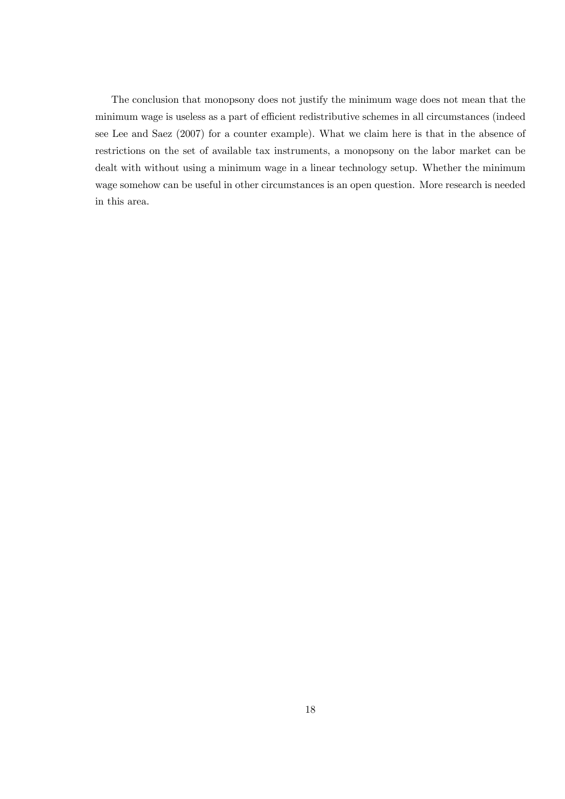The conclusion that monopsony does not justify the minimum wage does not mean that the minimum wage is useless as a part of efficient redistributive schemes in all circumstances (indeed see Lee and Saez (2007) for a counter example). What we claim here is that in the absence of restrictions on the set of available tax instruments, a monopsony on the labor market can be dealt with without using a minimum wage in a linear technology setup. Whether the minimum wage somehow can be useful in other circumstances is an open question. More research is needed in this area.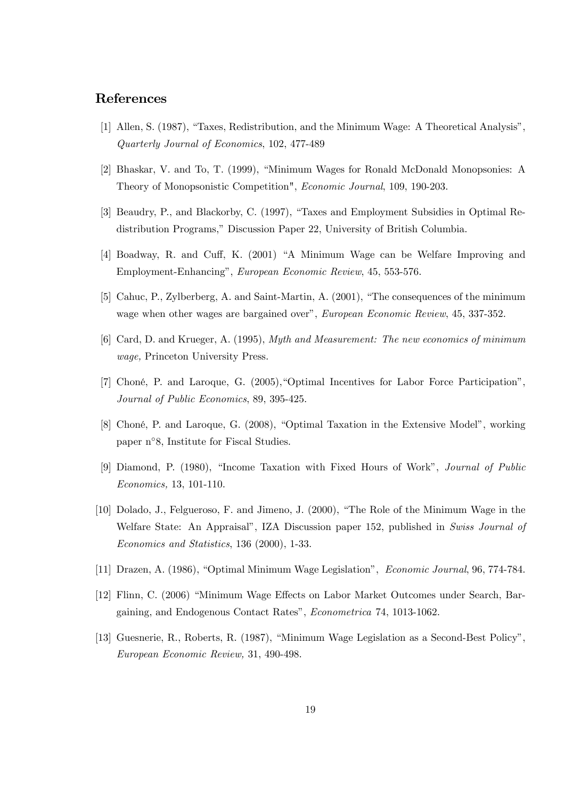## References

- [1] Allen, S. (1987), "Taxes, Redistribution, and the Minimum Wage: A Theoretical Analysis", Quarterly Journal of Economics, 102, 477-489
- [2] Bhaskar, V. and To, T. (1999), "Minimum Wages for Ronald McDonald Monopsonies: A Theory of Monopsonistic Competition", Economic Journal, 109, 190-203.
- [3] Beaudry, P., and Blackorby, C. (1997), "Taxes and Employment Subsidies in Optimal Redistribution Programs," Discussion Paper 22, University of British Columbia.
- [4] Boadway, R. and Cuff, K. (2001) "A Minimum Wage can be Welfare Improving and Employment-Enhancing", European Economic Review, 45, 553-576.
- [5] Cahuc, P., Zylberberg, A. and Saint-Martin, A.  $(2001)$ , "The consequences of the minimum wage when other wages are bargained over", European Economic Review, 45, 337-352.
- [6] Card, D. and Krueger, A. (1995), Myth and Measurement: The new economics of minimum wage, Princeton University Press.
- [7] Choné, P. and Laroque, G. (2005), "Optimal Incentives for Labor Force Participation", Journal of Public Economics, 89, 395-425.
- [8] Choné, P. and Laroque, G. (2008), "Optimal Taxation in the Extensive Model", working paper n°8, Institute for Fiscal Studies.
- [9] Diamond, P. (1980), "Income Taxation with Fixed Hours of Work", *Journal of Public* Economics, 13, 101-110.
- $[10]$  Dolado, J., Felgueroso, F. and Jimeno, J.  $(2000)$ , "The Role of the Minimum Wage in the Welfare State: An Appraisal", IZA Discussion paper 152, published in Swiss Journal of Economics and Statistics, 136 (2000), 1-33.
- [11] Drazen, A. (1986), "Optimal Minimum Wage Legislation", *Economic Journal*, 96, 774-784.
- [12] Flinn, C. (2006) "Minimum Wage Effects on Labor Market Outcomes under Search, Bargaining, and Endogenous Contact Rates", *Econometrica* 74, 1013-1062.
- [13] Guesnerie, R., Roberts, R. (1987), "Minimum Wage Legislation as a Second-Best Policy", European Economic Review, 31, 490-498.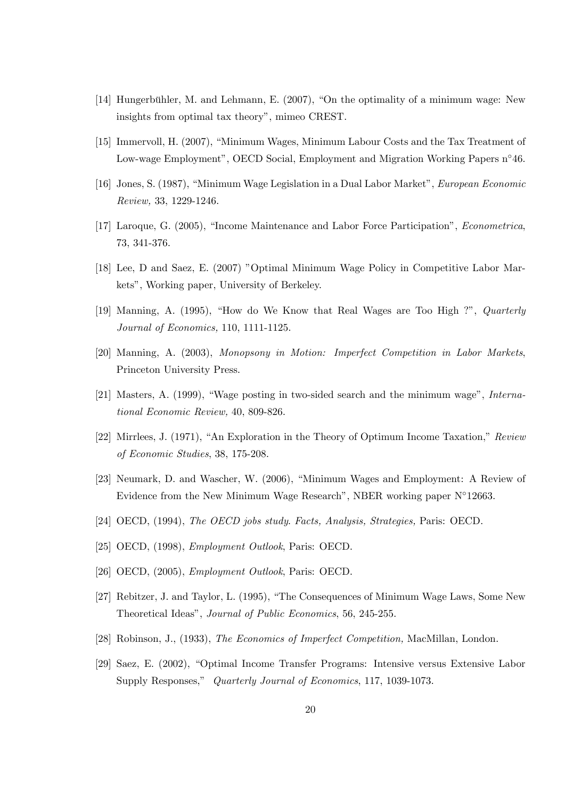- [14] Hungerbühler, M. and Lehmann, E.  $(2007)$ , "On the optimality of a minimum wage: New insights from optimal tax theory", mimeo CREST.
- [15] Immervoll, H. (2007), "Minimum Wages, Minimum Labour Costs and the Tax Treatment of Low-wage Employment", OECD Social, Employment and Migration Working Papers  $n^{\circ}46$ .
- [16] Jones, S. (1987), "Minimum Wage Legislation in a Dual Labor Market", *European Economic* Review, 33, 1229-1246.
- [17] Laroque, G. (2005), "Income Maintenance and Labor Force Participation", *Econometrica*, 73, 341-376.
- [18] Lee, D and Saez, E. (2007) îOptimal Minimum Wage Policy in Competitive Labor Markets", Working paper, University of Berkeley.
- [19] Manning, A. (1995), "How do We Know that Real Wages are Too High ?",  $Quarterly$ Journal of Economics, 110, 1111-1125.
- [20] Manning, A. (2003), Monopsony in Motion: Imperfect Competition in Labor Markets, Princeton University Press.
- [21] Masters, A.  $(1999)$ , "Wage posting in two-sided search and the minimum wage", *Interna*tional Economic Review, 40, 809-826.
- [22] Mirrlees, J. (1971), "An Exploration in the Theory of Optimum Income Taxation,"  $Review$ of Economic Studies, 38, 175-208.
- [23] Neumark, D. and Wascher, W. (2006), "Minimum Wages and Employment: A Review of Evidence from the New Minimum Wage Research", NBER working paper  $N^{\circ}12663$ .
- [24] OECD, (1994), The OECD jobs study. Facts, Analysis, Strategies, Paris: OECD.
- [25] OECD, (1998), *Employment Outlook*, Paris: OECD.
- [26] OECD, (2005), Employment Outlook, Paris: OECD.
- [27] Rebitzer, J. and Taylor, L. (1995), "The Consequences of Minimum Wage Laws, Some New Theoretical Ideas", Journal of Public Economics, 56, 245-255.
- [28] Robinson, J., (1933), The Economics of Imperfect Competition, MacMillan, London.
- [29] Saez, E. (2002), "Optimal Income Transfer Programs: Intensive versus Extensive Labor Supply Responses," Quarterly Journal of Economics, 117, 1039-1073.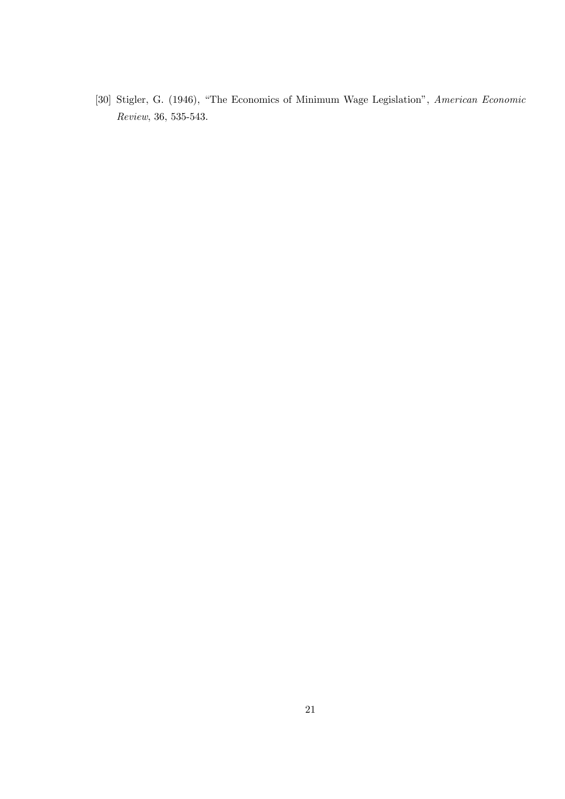[30] Stigler, G. (1946), "The Economics of Minimum Wage Legislation", American Economic Review, 36, 535-543.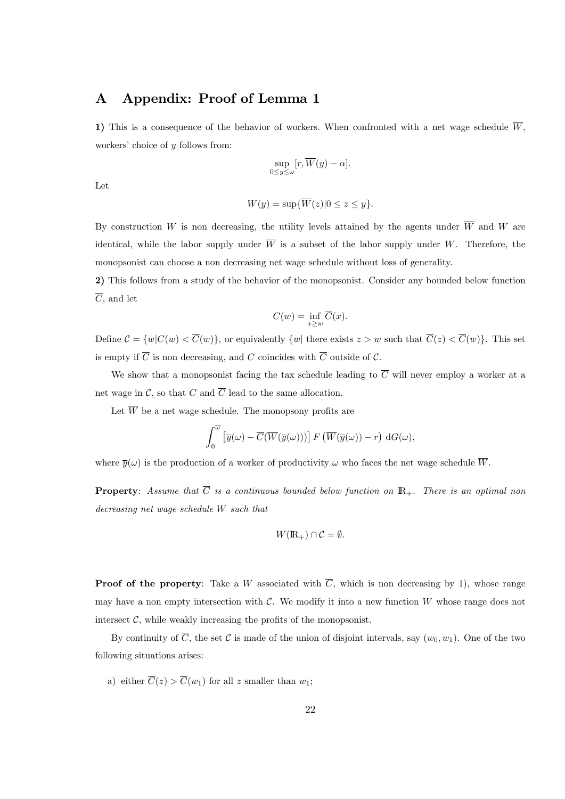## A Appendix: Proof of Lemma 1

1) This is a consequence of the behavior of workers. When confronted with a net wage schedule  $\overline{W}$ , workers' choice of  $y$  follows from:

$$
\sup_{0\leq y\leq \omega} [r,\overline{W}(y)-\alpha].
$$

Let

$$
W(y) = \sup \{ \overline{W}(z) | 0 \le z \le y \}.
$$

By construction W is non decreasing, the utility levels attained by the agents under  $\overline{W}$  and W are identical, while the labor supply under  $\overline{W}$  is a subset of the labor supply under W. Therefore, the monopsonist can choose a non decreasing net wage schedule without loss of generality.

2) This follows from a study of the behavior of the monopsonist. Consider any bounded below function  $\overline{C}$ , and let

$$
C(w) = \inf_{x \ge w} \overline{C}(x).
$$

Define  $\mathcal{C} = \{w|C(w) < \overline{C}(w)\}\$ , or equivalently  $\{w|$  there exists  $z > w$  such that  $\overline{C}(z) < \overline{C}(w)\}\$ . This set is empty if  $\overline{C}$  is non decreasing, and C coincides with  $\overline{C}$  outside of C.

We show that a monopsonist facing the tax schedule leading to  $\overline{C}$  will never employ a worker at a net wage in  $\mathcal C$ , so that  $C$  and  $\overline{C}$  lead to the same allocation.

Let  $\overline{W}$  be a net wage schedule. The monopsony profits are

$$
\int_0^{\overline{\omega}} \left[ \overline{y}(\omega) - \overline{C}(\overline{W}(\overline{y}(\omega))) \right] F\left( \overline{W}(\overline{y}(\omega)) - r \right) \, dG(\omega),
$$

where  $\overline{\psi}(\omega)$  is the production of a worker of productivity  $\omega$  who faces the net wage schedule  $\overline{W}$ .

**Property**: Assume that  $\overline{C}$  is a continuous bounded below function on  $\mathbb{R}_+$ . There is an optimal non decreasing net wage schedule W such that

$$
W(\mathbb{R}_+) \cap \mathcal{C} = \emptyset.
$$

**Proof of the property**: Take a W associated with  $\overline{C}$ , which is non decreasing by 1), whose range may have a non empty intersection with  $\mathcal{C}$ . We modify it into a new function  $W$  whose range does not intersect  $\mathcal{C}$ , while weakly increasing the profits of the monopsonist.

By continuity of  $\overline{C}$ , the set C is made of the union of disjoint intervals, say  $(w_0, w_1)$ . One of the two following situations arises:

a) either  $\overline{C}(z) > \overline{C}(w_1)$  for all z smaller than  $w_1$ ;